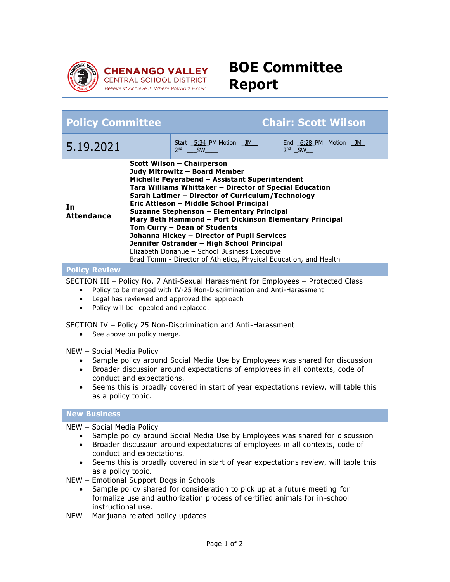

**CHENANGO VALLEY**<br>CENTRAL SCHOOL DISTRICT Believe it! Achieve it! Where Warriors Excel!



| <b>Chair: Scott Wilson</b><br><b>Policy Committee</b>                                                                                                                                                                                                                                                                                                                                                                                                                                                                                                                                                                                                                                                                                                                                |  |                                                         |  |                                   |
|--------------------------------------------------------------------------------------------------------------------------------------------------------------------------------------------------------------------------------------------------------------------------------------------------------------------------------------------------------------------------------------------------------------------------------------------------------------------------------------------------------------------------------------------------------------------------------------------------------------------------------------------------------------------------------------------------------------------------------------------------------------------------------------|--|---------------------------------------------------------|--|-----------------------------------|
| 5.19.2021                                                                                                                                                                                                                                                                                                                                                                                                                                                                                                                                                                                                                                                                                                                                                                            |  | Start 5:34 PM Motion JM<br>2 <sub>nd</sub><br><b>SW</b> |  | End 6:28 PM Motion JM<br>$2nd$ SW |
| <b>Scott Wilson - Chairperson</b><br>Judy Mitrowitz - Board Member<br>Michelle Feyerabend - Assistant Superintendent<br>Tara Williams Whittaker - Director of Special Education<br>Sarah Latimer - Director of Curriculum/Technology<br>Eric Attleson - Middle School Principal<br>In<br>Suzanne Stephenson - Elementary Principal<br><b>Attendance</b><br>Mary Beth Hammond - Port Dickinson Elementary Principal<br>Tom Curry - Dean of Students<br>Johanna Hickey - Director of Pupil Services<br>Jennifer Ostrander - High School Principal<br>Elizabeth Donahue - School Business Executive<br>Brad Tomm - Director of Athletics, Physical Education, and Health                                                                                                                |  |                                                         |  |                                   |
| <b>Policy Review</b>                                                                                                                                                                                                                                                                                                                                                                                                                                                                                                                                                                                                                                                                                                                                                                 |  |                                                         |  |                                   |
| SECTION III - Policy No. 7 Anti-Sexual Harassment for Employees - Protected Class<br>Policy to be merged with IV-25 Non-Discrimination and Anti-Harassment<br>$\bullet$<br>Legal has reviewed and approved the approach<br>$\bullet$<br>Policy will be repealed and replaced.<br>$\bullet$<br>SECTION IV - Policy 25 Non-Discrimination and Anti-Harassment<br>See above on policy merge.<br>$\bullet$<br>NEW - Social Media Policy<br>Sample policy around Social Media Use by Employees was shared for discussion<br>$\bullet$<br>Broader discussion around expectations of employees in all contexts, code of<br>$\bullet$<br>conduct and expectations.<br>Seems this is broadly covered in start of year expectations review, will table this<br>$\bullet$<br>as a policy topic. |  |                                                         |  |                                   |
| <b>New Business</b>                                                                                                                                                                                                                                                                                                                                                                                                                                                                                                                                                                                                                                                                                                                                                                  |  |                                                         |  |                                   |
| NEW - Social Media Policy<br>Sample policy around Social Media Use by Employees was shared for discussion<br>Broader discussion around expectations of employees in all contexts, code of<br>conduct and expectations.<br>Seems this is broadly covered in start of year expectations review, will table this<br>as a policy topic.<br>NEW - Emotional Support Dogs in Schools<br>Sample policy shared for consideration to pick up at a future meeting for<br>formalize use and authorization process of certified animals for in-school<br>instructional use.<br>NEW - Marijuana related nolicy undates                                                                                                                                                                            |  |                                                         |  |                                   |

NEW – Marijuana related policy updates